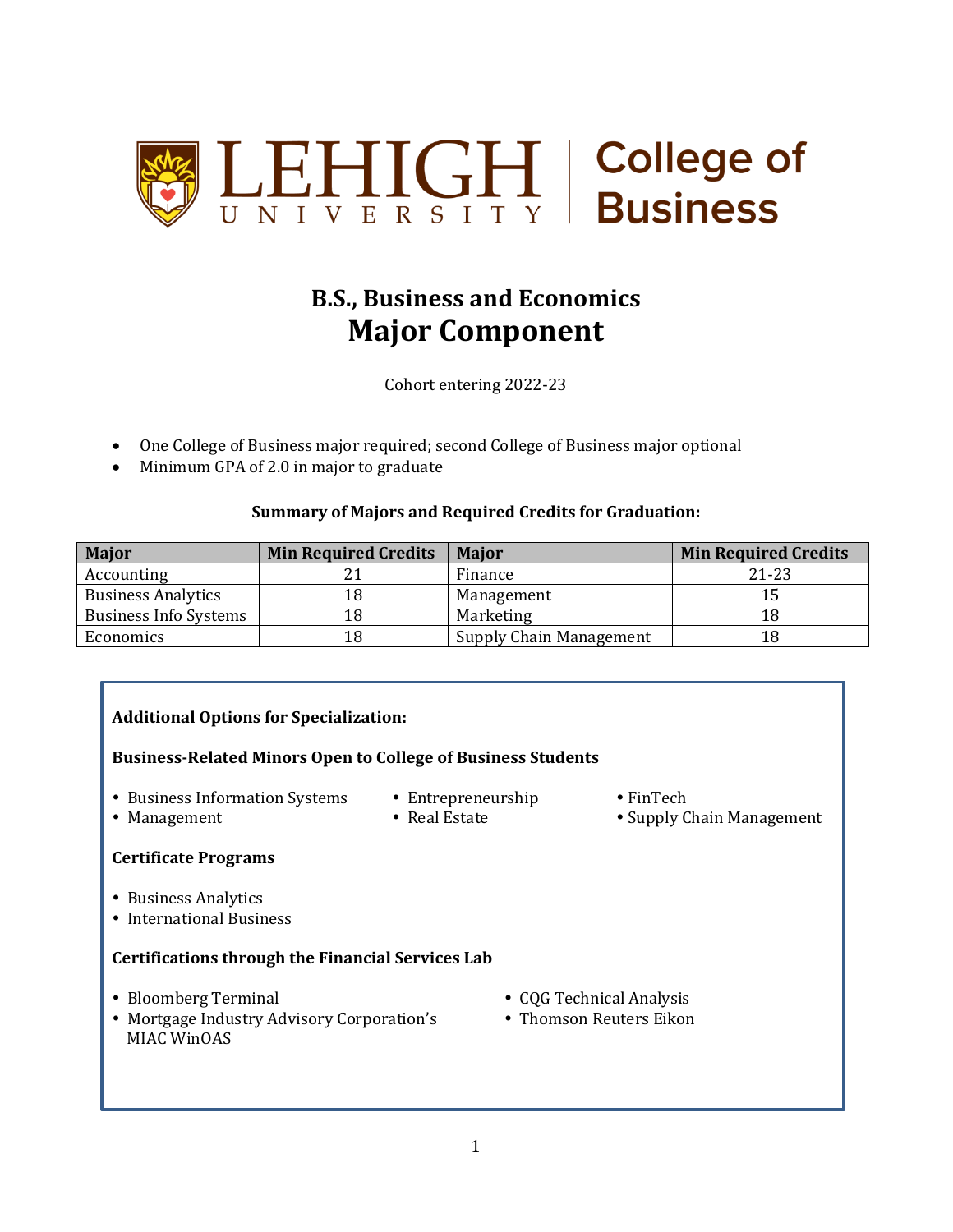

#### **B.S., Business and Economics Major Component**

Cohort entering 2022-23

- One College of Business major required; second College of Business major optional
- Minimum GPA of 2.0 in major to graduate

#### **Summary of Majors and Required Credits for Graduation:**

| <b>Major</b>                 | <b>Min Required Credits</b> | <b>Major</b>                   | <b>Min Required Credits</b> |
|------------------------------|-----------------------------|--------------------------------|-----------------------------|
| Accounting                   |                             | Finance                        | $21 - 23$                   |
| <b>Business Analytics</b>    | 18                          | Management                     |                             |
| <b>Business Info Systems</b> | 18                          | Marketing                      | 18                          |
| Economics                    | 18                          | <b>Supply Chain Management</b> | 18                          |

#### **Additional Options for Specialization: Business-Related Minors Open to College of Business Students**  • Business Information Systems • Entrepreneurship • FinTech • Management • Real Estate • Supply Chain Management **Certificate Programs** • Business Analytics • International Business **Certifications through the Financial Services Lab** Bloomberg Terminal CQG Technical Analysis • Mortgage Industry Advisory Corporation's • Thomson Reuters Eikon MIAC WinOAS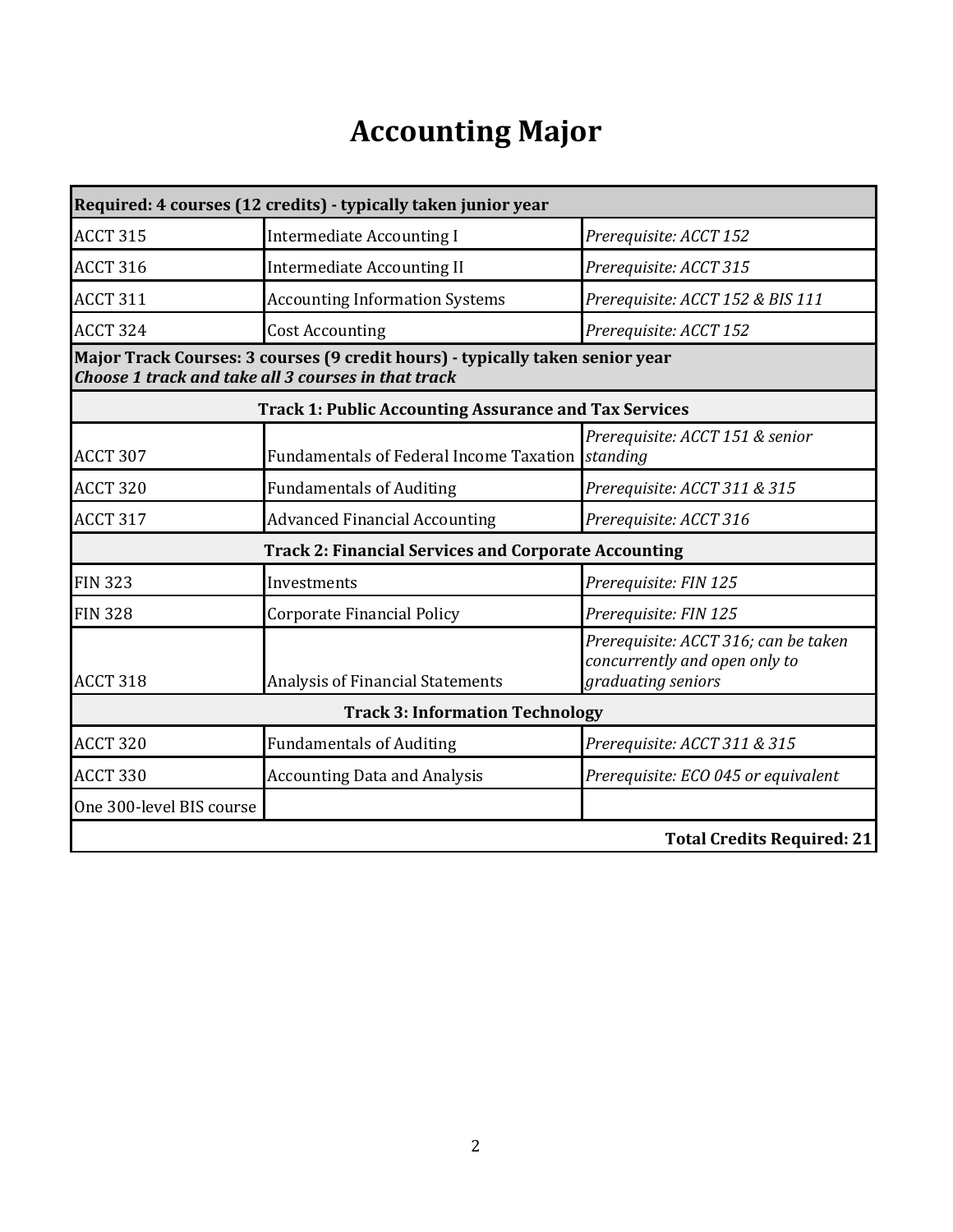# **Accounting Major**

|                          | Required: 4 courses (12 credits) - typically taken junior year                                                                       |                                                                                             |
|--------------------------|--------------------------------------------------------------------------------------------------------------------------------------|---------------------------------------------------------------------------------------------|
| <b>ACCT 315</b>          | <b>Intermediate Accounting I</b>                                                                                                     | Prerequisite: ACCT 152                                                                      |
| <b>ACCT 316</b>          | <b>Intermediate Accounting II</b>                                                                                                    | Prerequisite: ACCT 315                                                                      |
| <b>ACCT 311</b>          | <b>Accounting Information Systems</b>                                                                                                | Prerequisite: ACCT 152 & BIS 111                                                            |
| <b>ACCT 324</b>          | <b>Cost Accounting</b>                                                                                                               | Prerequisite: ACCT 152                                                                      |
|                          | Major Track Courses: 3 courses (9 credit hours) - typically taken senior year<br>Choose 1 track and take all 3 courses in that track |                                                                                             |
|                          | <b>Track 1: Public Accounting Assurance and Tax Services</b>                                                                         |                                                                                             |
| <b>ACCT 307</b>          | <b>Fundamentals of Federal Income Taxation</b>                                                                                       | Prerequisite: ACCT 151 & senior<br>standing                                                 |
| <b>ACCT 320</b>          | <b>Fundamentals of Auditing</b>                                                                                                      | Prerequisite: ACCT 311 & 315                                                                |
| <b>ACCT 317</b>          | <b>Advanced Financial Accounting</b>                                                                                                 | Prerequisite: ACCT 316                                                                      |
|                          | <b>Track 2: Financial Services and Corporate Accounting</b>                                                                          |                                                                                             |
| <b>FIN 323</b>           | Investments                                                                                                                          | Prerequisite: FIN 125                                                                       |
| <b>FIN 328</b>           | <b>Corporate Financial Policy</b>                                                                                                    | Prerequisite: FIN 125                                                                       |
| ACCT 318                 | Analysis of Financial Statements                                                                                                     | Prerequisite: ACCT 316; can be taken<br>concurrently and open only to<br>graduating seniors |
|                          | <b>Track 3: Information Technology</b>                                                                                               |                                                                                             |
| <b>ACCT 320</b>          | <b>Fundamentals of Auditing</b>                                                                                                      | Prerequisite: ACCT 311 & 315                                                                |
| ACCT 330                 | <b>Accounting Data and Analysis</b>                                                                                                  | Prerequisite: ECO 045 or equivalent                                                         |
| One 300-level BIS course |                                                                                                                                      |                                                                                             |
|                          |                                                                                                                                      | <b>Total Credits Required: 21</b>                                                           |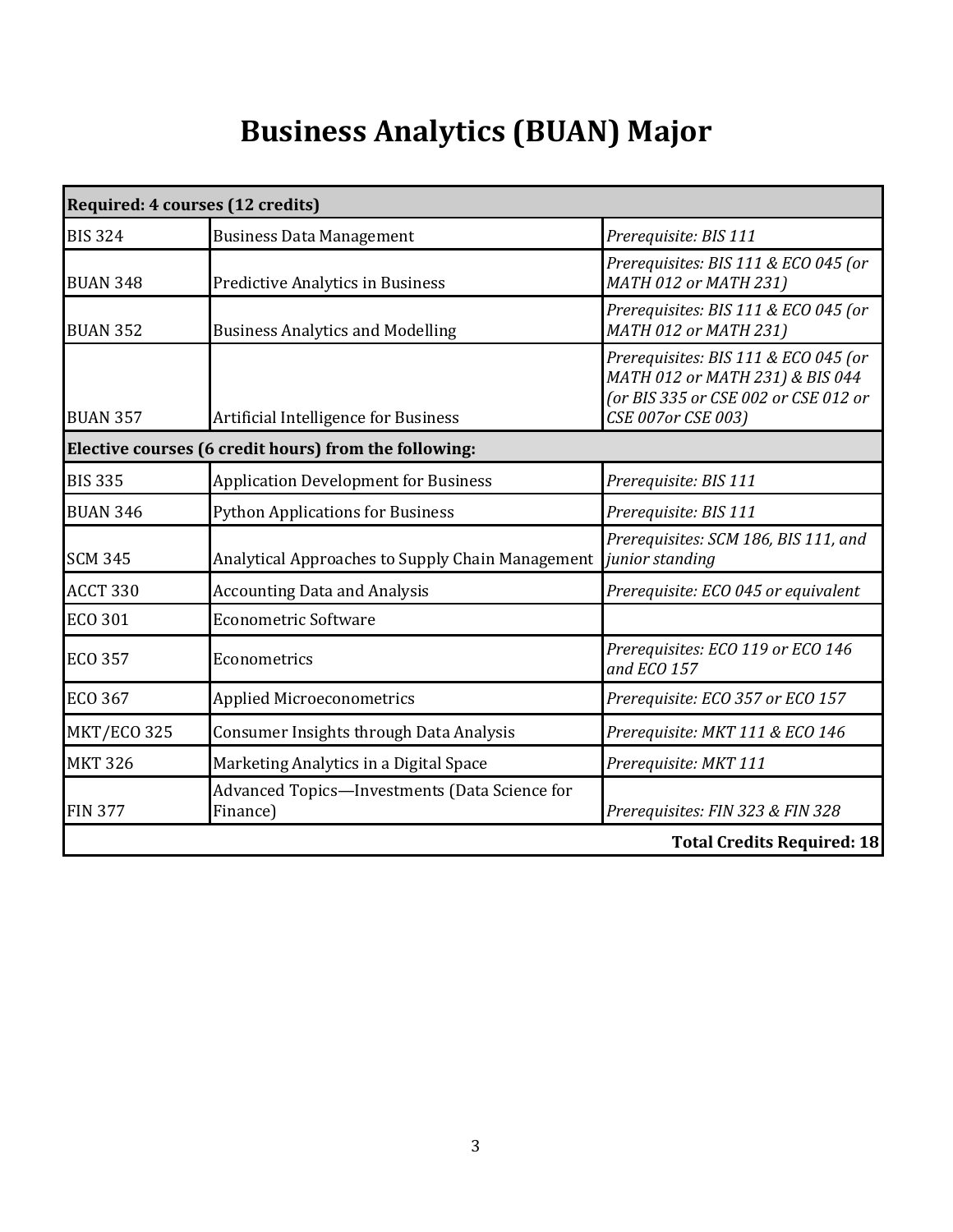# **Business Analytics (BUAN) Major**

| Required: 4 courses (12 credits) |                                                                         |                                                                                                                                       |
|----------------------------------|-------------------------------------------------------------------------|---------------------------------------------------------------------------------------------------------------------------------------|
| <b>BIS 324</b>                   | <b>Business Data Management</b>                                         | Prerequisite: BIS 111                                                                                                                 |
| <b>BUAN 348</b>                  | <b>Predictive Analytics in Business</b>                                 | Prerequisites: BIS 111 & ECO 045 (or<br>MATH 012 or MATH 231)                                                                         |
| <b>BUAN 352</b>                  | <b>Business Analytics and Modelling</b>                                 | Prerequisites: BIS 111 & ECO 045 (or<br>MATH 012 or MATH 231)                                                                         |
| <b>BUAN 357</b>                  | Artificial Intelligence for Business                                    | Prerequisites: BIS 111 & ECO 045 (or<br>MATH 012 or MATH 231) & BIS 044<br>(or BIS 335 or CSE 002 or CSE 012 or<br>CSE 007or CSE 003) |
|                                  | Elective courses (6 credit hours) from the following:                   |                                                                                                                                       |
| <b>BIS 335</b>                   | <b>Application Development for Business</b>                             | Prerequisite: BIS 111                                                                                                                 |
| <b>BUAN 346</b>                  | <b>Python Applications for Business</b>                                 | Prerequisite: BIS 111                                                                                                                 |
| <b>SCM 345</b>                   | Analytical Approaches to Supply Chain Management <i>junior standing</i> | Prerequisites: SCM 186, BIS 111, and                                                                                                  |
| ACCT 330                         | <b>Accounting Data and Analysis</b>                                     | Prerequisite: ECO 045 or equivalent                                                                                                   |
| <b>ECO 301</b>                   | <b>Econometric Software</b>                                             |                                                                                                                                       |
| <b>ECO 357</b>                   | Econometrics                                                            | Prerequisites: ECO 119 or ECO 146<br>and ECO 157                                                                                      |
| ECO 367                          | <b>Applied Microeconometrics</b>                                        | Prerequisite: ECO 357 or ECO 157                                                                                                      |
| MKT/ECO 325                      | <b>Consumer Insights through Data Analysis</b>                          | Prerequisite: MKT 111 & ECO 146                                                                                                       |
| <b>MKT 326</b>                   | Marketing Analytics in a Digital Space                                  | Prerequisite: MKT 111                                                                                                                 |
| <b>FIN 377</b>                   | Advanced Topics-Investments (Data Science for<br>Finance)               | Prerequisites: FIN 323 & FIN 328                                                                                                      |
|                                  |                                                                         | <b>Total Credits Required: 18</b>                                                                                                     |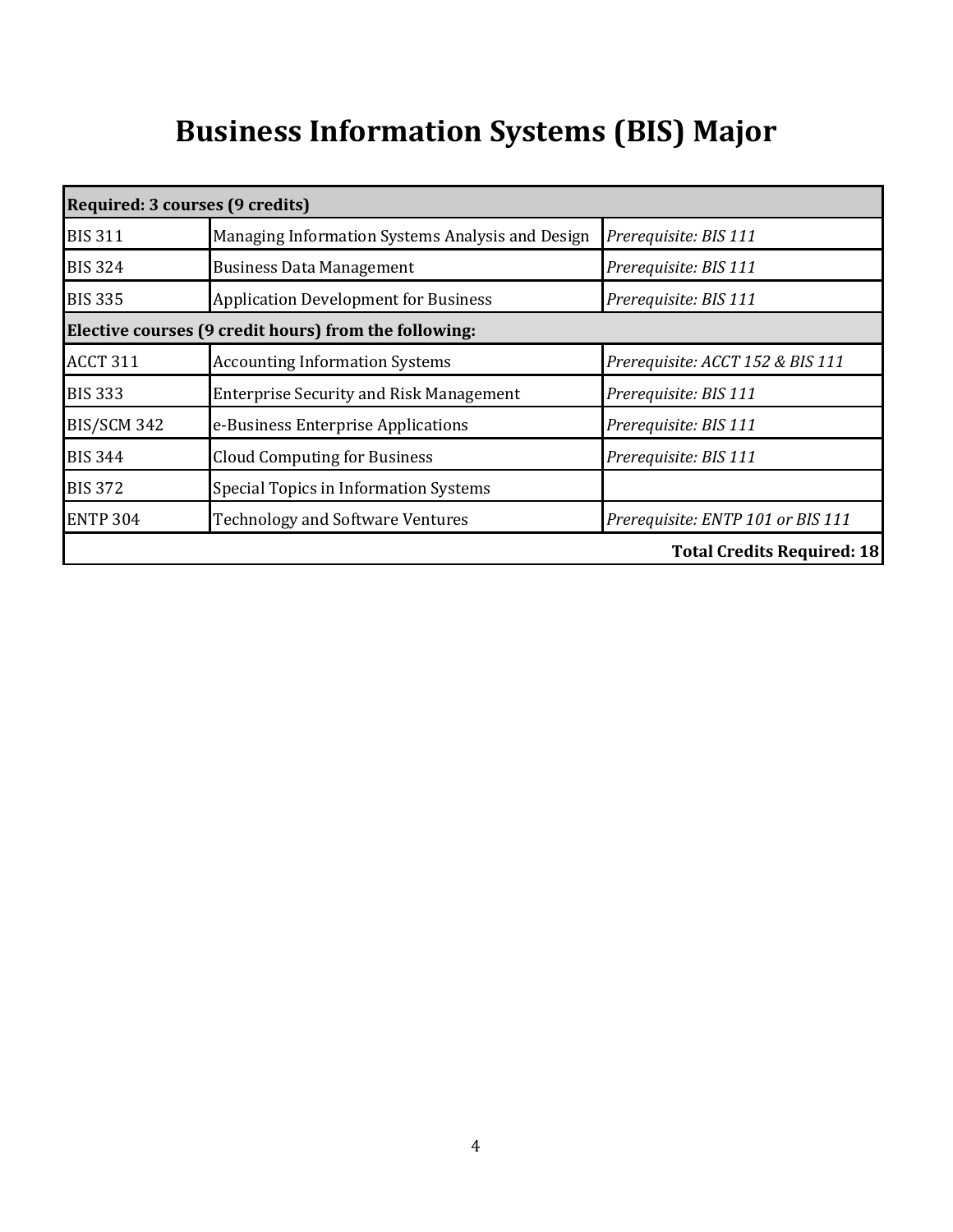# **Business Information Systems (BIS) Major**

| Required: 3 courses (9 credits) |                                                       |                                   |
|---------------------------------|-------------------------------------------------------|-----------------------------------|
| <b>BIS 311</b>                  | Managing Information Systems Analysis and Design      | Prerequisite: BIS 111             |
| <b>BIS 324</b>                  | <b>Business Data Management</b>                       | Prerequisite: BIS 111             |
| <b>BIS 335</b>                  | <b>Application Development for Business</b>           | Prerequisite: BIS 111             |
|                                 | Elective courses (9 credit hours) from the following: |                                   |
| <b>ACCT 311</b>                 | <b>Accounting Information Systems</b>                 | Prerequisite: ACCT 152 & BIS 111  |
| <b>BIS 333</b>                  | <b>Enterprise Security and Risk Management</b>        | Prerequisite: BIS 111             |
| <b>BIS/SCM 342</b>              | e-Business Enterprise Applications                    | Prerequisite: BIS 111             |
| <b>BIS 344</b>                  | <b>Cloud Computing for Business</b>                   | Prerequisite: BIS 111             |
| <b>BIS 372</b>                  | Special Topics in Information Systems                 |                                   |
| <b>ENTP 304</b>                 | <b>Technology and Software Ventures</b>               | Prerequisite: ENTP 101 or BIS 111 |
|                                 |                                                       | <b>Total Credits Required: 18</b> |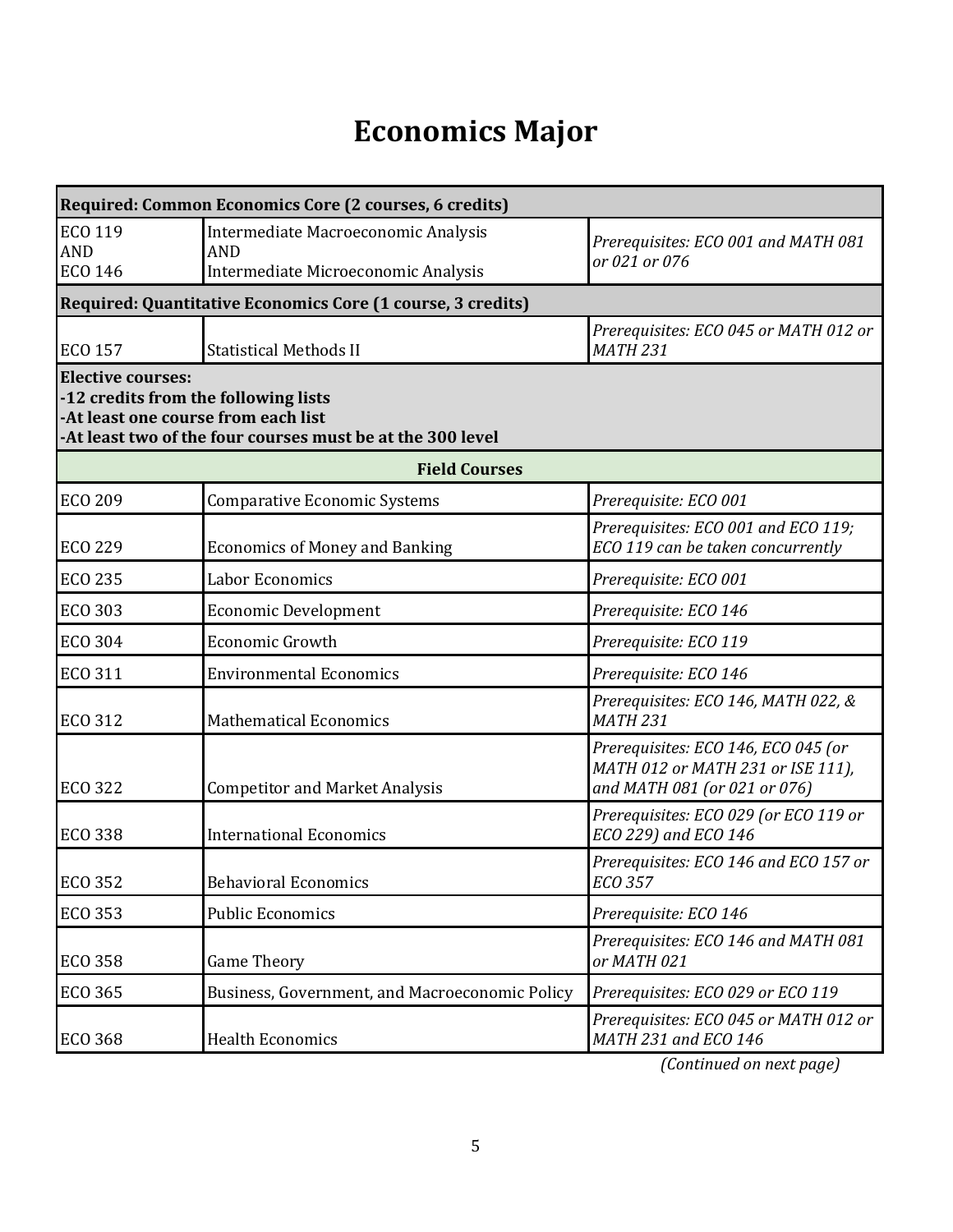## **Economics Major**

| Required: Common Economics Core (2 courses, 6 credits)                                                                                                                |                                                             |                                                                                                          |  |  |
|-----------------------------------------------------------------------------------------------------------------------------------------------------------------------|-------------------------------------------------------------|----------------------------------------------------------------------------------------------------------|--|--|
| <b>ECO 119</b>                                                                                                                                                        | Intermediate Macroeconomic Analysis                         | Prerequisites: ECO 001 and MATH 081                                                                      |  |  |
| <b>AND</b><br><b>ECO 146</b>                                                                                                                                          | <b>AND</b><br>Intermediate Microeconomic Analysis           | or 021 or 076                                                                                            |  |  |
|                                                                                                                                                                       | Required: Quantitative Economics Core (1 course, 3 credits) |                                                                                                          |  |  |
| <b>ECO 157</b>                                                                                                                                                        | <b>Statistical Methods II</b>                               | Prerequisites: ECO 045 or MATH 012 or<br><b>MATH 231</b>                                                 |  |  |
| <b>Elective courses:</b><br>-12 credits from the following lists<br>-At least one course from each list<br>-At least two of the four courses must be at the 300 level |                                                             |                                                                                                          |  |  |
|                                                                                                                                                                       | <b>Field Courses</b>                                        |                                                                                                          |  |  |
| <b>ECO 209</b>                                                                                                                                                        | <b>Comparative Economic Systems</b>                         | Prerequisite: ECO 001                                                                                    |  |  |
| <b>ECO 229</b>                                                                                                                                                        | <b>Economics of Money and Banking</b>                       | Prerequisites: ECO 001 and ECO 119;<br>ECO 119 can be taken concurrently                                 |  |  |
| <b>ECO 235</b>                                                                                                                                                        | Labor Economics                                             | Prerequisite: ECO 001                                                                                    |  |  |
| <b>ECO 303</b>                                                                                                                                                        | <b>Economic Development</b>                                 | Prerequisite: ECO 146                                                                                    |  |  |
| <b>ECO 304</b>                                                                                                                                                        | <b>Economic Growth</b>                                      | Prerequisite: ECO 119                                                                                    |  |  |
| <b>ECO 311</b>                                                                                                                                                        | <b>Environmental Economics</b>                              | Prerequisite: ECO 146                                                                                    |  |  |
| <b>ECO 312</b>                                                                                                                                                        | <b>Mathematical Economics</b>                               | Prerequisites: ECO 146, MATH 022, &<br><b>MATH 231</b>                                                   |  |  |
| <b>ECO 322</b>                                                                                                                                                        | <b>Competitor and Market Analysis</b>                       | Prerequisites: ECO 146, ECO 045 (or<br>MATH 012 or MATH 231 or ISE 111),<br>and MATH 081 (or 021 or 076) |  |  |
| <b>ECO 338</b>                                                                                                                                                        | <b>International Economics</b>                              | Prerequisites: ECO 029 (or ECO 119 or<br>ECO 229) and ECO 146                                            |  |  |
| <b>ECO 352</b>                                                                                                                                                        | <b>Behavioral Economics</b>                                 | Prerequisites: ECO 146 and ECO 157 or<br>ECO 357                                                         |  |  |
| <b>ECO 353</b>                                                                                                                                                        | <b>Public Economics</b>                                     | Prerequisite: ECO 146                                                                                    |  |  |
| <b>ECO 358</b>                                                                                                                                                        | <b>Game Theory</b>                                          | Prerequisites: ECO 146 and MATH 081<br>or MATH 021                                                       |  |  |
| <b>ECO 365</b>                                                                                                                                                        | Business, Government, and Macroeconomic Policy              | Prerequisites: ECO 029 or ECO 119                                                                        |  |  |
| <b>ECO 368</b>                                                                                                                                                        | <b>Health Economics</b>                                     | Prerequisites: ECO 045 or MATH 012 or<br>MATH 231 and ECO 146                                            |  |  |

*(Continued on next page)*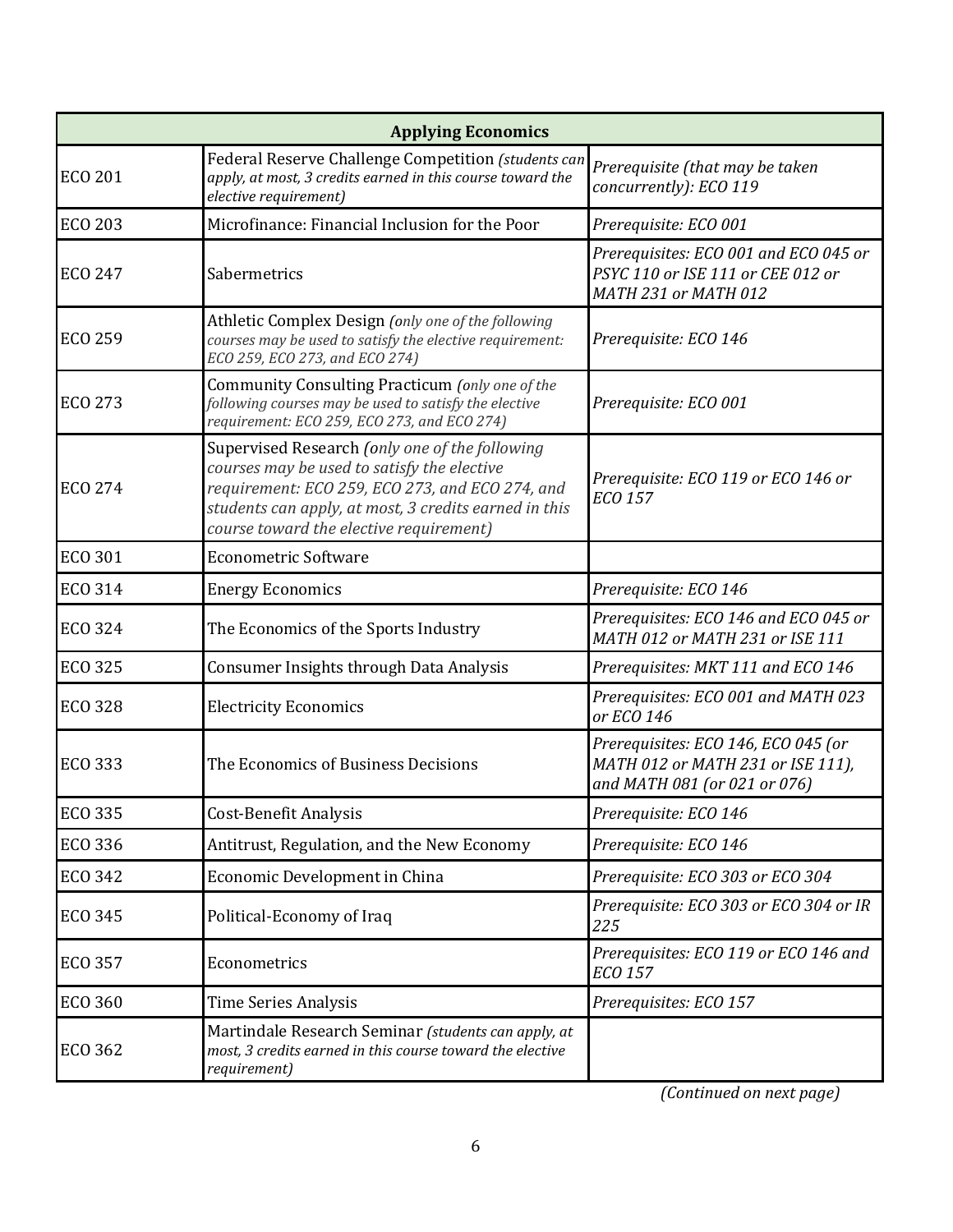|                | <b>Applying Economics</b>                                                                                                                                                                                                                            |                                                                                                          |
|----------------|------------------------------------------------------------------------------------------------------------------------------------------------------------------------------------------------------------------------------------------------------|----------------------------------------------------------------------------------------------------------|
| <b>ECO 201</b> | Federal Reserve Challenge Competition (students can<br>apply, at most, 3 credits earned in this course toward the<br>elective requirement)                                                                                                           | Prerequisite (that may be taken<br>concurrently): ECO 119                                                |
| <b>ECO 203</b> | Microfinance: Financial Inclusion for the Poor                                                                                                                                                                                                       | Prerequisite: ECO 001                                                                                    |
| <b>ECO 247</b> | Sabermetrics                                                                                                                                                                                                                                         | Prerequisites: ECO 001 and ECO 045 or<br>PSYC 110 or ISE 111 or CEE 012 or<br>MATH 231 or MATH 012       |
| <b>ECO 259</b> | Athletic Complex Design (only one of the following<br>courses may be used to satisfy the elective requirement:<br>ECO 259, ECO 273, and ECO 274)                                                                                                     | Prerequisite: ECO 146                                                                                    |
| <b>ECO 273</b> | Community Consulting Practicum (only one of the<br>following courses may be used to satisfy the elective<br>requirement: ECO 259, ECO 273, and ECO 274)                                                                                              | Prerequisite: ECO 001                                                                                    |
| <b>ECO 274</b> | Supervised Research (only one of the following<br>courses may be used to satisfy the elective<br>requirement: ECO 259, ECO 273, and ECO 274, and<br>students can apply, at most, 3 credits earned in this<br>course toward the elective requirement) | Prerequisite: ECO 119 or ECO 146 or<br>ECO 157                                                           |
| <b>ECO 301</b> | <b>Econometric Software</b>                                                                                                                                                                                                                          |                                                                                                          |
| <b>ECO 314</b> | <b>Energy Economics</b>                                                                                                                                                                                                                              | Prerequisite: ECO 146                                                                                    |
| ECO 324        | The Economics of the Sports Industry                                                                                                                                                                                                                 | Prerequisites: ECO 146 and ECO 045 or<br>MATH 012 or MATH 231 or ISE 111                                 |
| <b>ECO 325</b> | <b>Consumer Insights through Data Analysis</b>                                                                                                                                                                                                       | Prerequisites: MKT 111 and ECO 146                                                                       |
| <b>ECO 328</b> | <b>Electricity Economics</b>                                                                                                                                                                                                                         | Prerequisites: ECO 001 and MATH 023<br>or ECO 146                                                        |
| ECO 333        | The Economics of Business Decisions                                                                                                                                                                                                                  | Prerequisites: ECO 146, ECO 045 (or<br>MATH 012 or MATH 231 or ISE 111),<br>and MATH 081 (or 021 or 076) |
| ECO 335        | Cost-Benefit Analysis                                                                                                                                                                                                                                | Prerequisite: ECO 146                                                                                    |
| ECO 336        | Antitrust, Regulation, and the New Economy                                                                                                                                                                                                           | Prerequisite: ECO 146                                                                                    |
| <b>ECO 342</b> | Economic Development in China                                                                                                                                                                                                                        | Prerequisite: ECO 303 or ECO 304                                                                         |
| <b>ECO 345</b> | Political-Economy of Iraq                                                                                                                                                                                                                            | Prerequisite: ECO 303 or ECO 304 or IR<br>225                                                            |
| <b>ECO 357</b> | Econometrics                                                                                                                                                                                                                                         | Prerequisites: ECO 119 or ECO 146 and<br>ECO 157                                                         |
| <b>ECO 360</b> | Time Series Analysis                                                                                                                                                                                                                                 | Prerequisites: ECO 157                                                                                   |
| ECO 362        | Martindale Research Seminar (students can apply, at<br>most, 3 credits earned in this course toward the elective<br>requirement)                                                                                                                     |                                                                                                          |

*(Continued on next page)*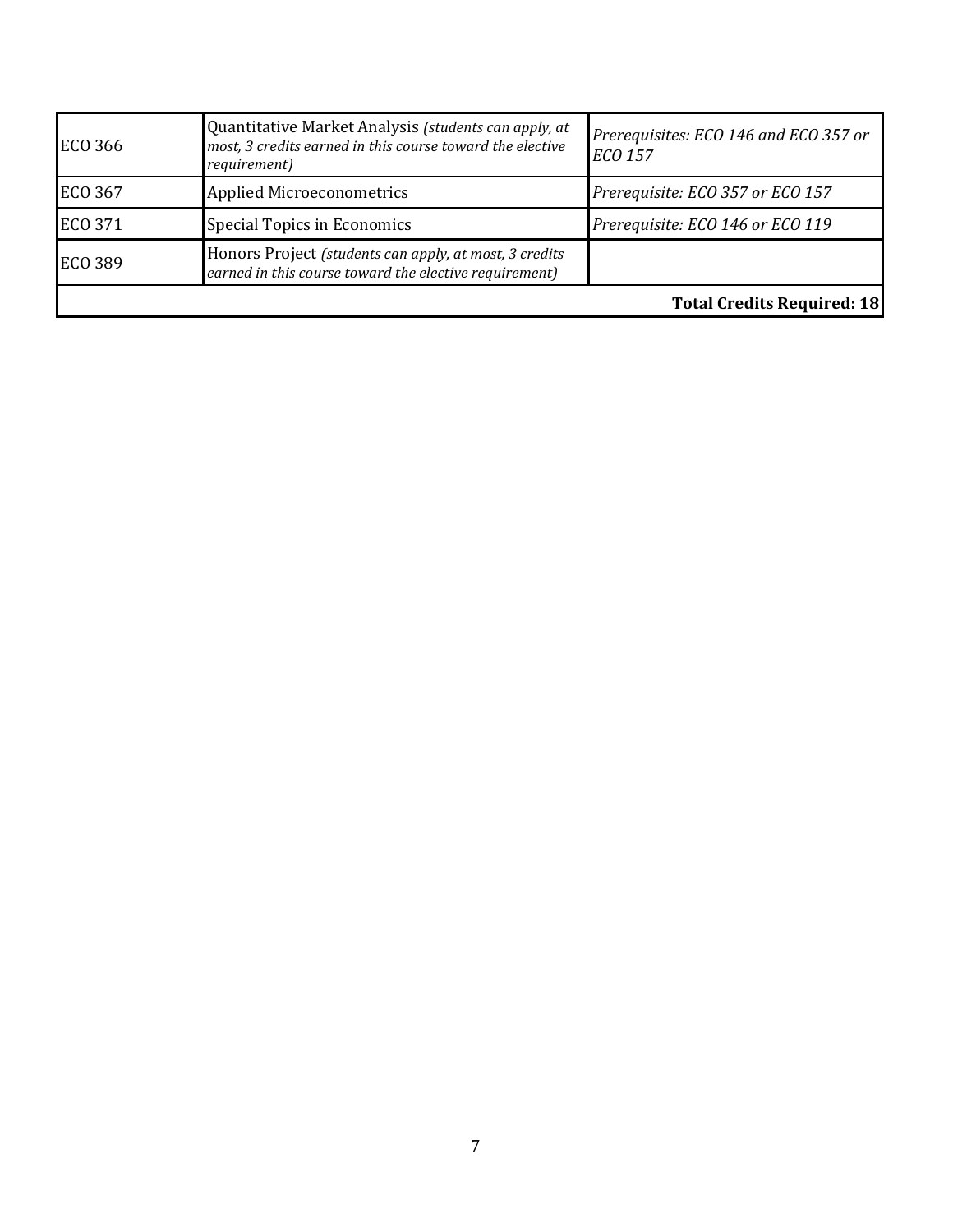| ECO 366        | Quantitative Market Analysis (students can apply, at<br>most, 3 credits earned in this course toward the elective<br>requirement) | Prerequisites: ECO 146 and ECO 357 or<br><b>ECO 157</b> |
|----------------|-----------------------------------------------------------------------------------------------------------------------------------|---------------------------------------------------------|
| <b>ECO 367</b> | <b>Applied Microeconometrics</b>                                                                                                  | Prerequisite: ECO 357 or ECO 157                        |
| ECO 371        | Special Topics in Economics                                                                                                       | Prerequisite: ECO 146 or ECO 119                        |
| ECO 389        | Honors Project (students can apply, at most, 3 credits<br>earned in this course toward the elective requirement)                  |                                                         |
|                |                                                                                                                                   | <b>Total Credits Required: 18</b>                       |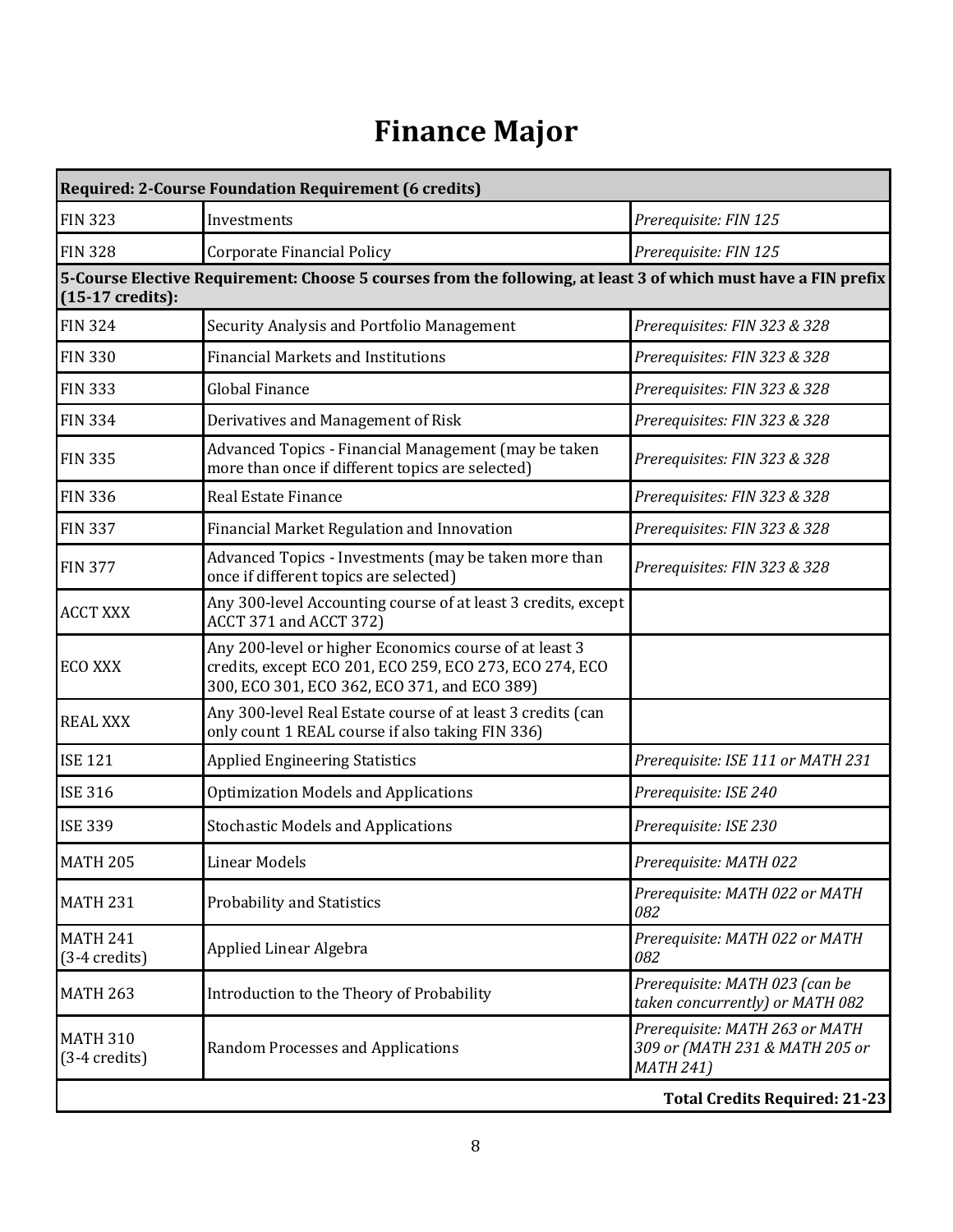## **Finance Major**

| <b>Required: 2-Course Foundation Requirement (6 credits)</b> |                                                                                                                                                                   |                                                                                      |
|--------------------------------------------------------------|-------------------------------------------------------------------------------------------------------------------------------------------------------------------|--------------------------------------------------------------------------------------|
| <b>FIN 323</b>                                               | Investments                                                                                                                                                       | Prerequisite: FIN 125                                                                |
| <b>FIN 328</b>                                               | <b>Corporate Financial Policy</b>                                                                                                                                 | Prerequisite: FIN 125                                                                |
| $(15-17 \text{ credits})$ :                                  | 5-Course Elective Requirement: Choose 5 courses from the following, at least 3 of which must have a FIN prefix                                                    |                                                                                      |
| <b>FIN 324</b>                                               | Security Analysis and Portfolio Management                                                                                                                        | Prerequisites: FIN 323 & 328                                                         |
| <b>FIN 330</b>                                               | <b>Financial Markets and Institutions</b>                                                                                                                         | Prerequisites: FIN 323 & 328                                                         |
| <b>FIN 333</b>                                               | <b>Global Finance</b>                                                                                                                                             | Prerequisites: FIN 323 & 328                                                         |
| <b>FIN 334</b>                                               | Derivatives and Management of Risk                                                                                                                                | Prerequisites: FIN 323 & 328                                                         |
| <b>FIN 335</b>                                               | Advanced Topics - Financial Management (may be taken<br>more than once if different topics are selected)                                                          | Prerequisites: FIN 323 & 328                                                         |
| <b>FIN 336</b>                                               | <b>Real Estate Finance</b>                                                                                                                                        | Prerequisites: FIN 323 & 328                                                         |
| <b>FIN 337</b>                                               | Financial Market Regulation and Innovation                                                                                                                        | Prerequisites: FIN 323 & 328                                                         |
| <b>FIN 377</b>                                               | Advanced Topics - Investments (may be taken more than<br>once if different topics are selected)                                                                   | Prerequisites: FIN 323 & 328                                                         |
| <b>ACCT XXX</b>                                              | Any 300-level Accounting course of at least 3 credits, except<br>ACCT 371 and ACCT 372)                                                                           |                                                                                      |
| <b>ECO XXX</b>                                               | Any 200-level or higher Economics course of at least 3<br>credits, except ECO 201, ECO 259, ECO 273, ECO 274, ECO<br>300, ECO 301, ECO 362, ECO 371, and ECO 389) |                                                                                      |
| <b>REAL XXX</b>                                              | Any 300-level Real Estate course of at least 3 credits (can<br>only count 1 REAL course if also taking FIN 336)                                                   |                                                                                      |
| <b>ISE 121</b>                                               | <b>Applied Engineering Statistics</b>                                                                                                                             | Prerequisite: ISE 111 or MATH 231                                                    |
| <b>ISE 316</b>                                               | <b>Optimization Models and Applications</b>                                                                                                                       | Prerequisite: ISE 240                                                                |
| <b>ISE 339</b>                                               | <b>Stochastic Models and Applications</b>                                                                                                                         | Prerequisite: ISE 230                                                                |
| <b>MATH 205</b>                                              | Linear Models                                                                                                                                                     | Prerequisite: MATH 022                                                               |
| <b>MATH 231</b>                                              | Probability and Statistics                                                                                                                                        | Prerequisite: MATH 022 or MATH<br>082                                                |
| <b>MATH 241</b><br>$(3-4 \text{ credits})$                   | Applied Linear Algebra                                                                                                                                            | Prerequisite: MATH 022 or MATH<br>082                                                |
| <b>MATH 263</b>                                              | Introduction to the Theory of Probability                                                                                                                         | Prerequisite: MATH 023 (can be<br>taken concurrently) or MATH 082                    |
| <b>MATH 310</b><br>$(3-4 \text{ credits})$                   | Random Processes and Applications                                                                                                                                 | Prerequisite: MATH 263 or MATH<br>309 or (MATH 231 & MATH 205 or<br><b>MATH 241)</b> |
|                                                              |                                                                                                                                                                   | <b>Total Credits Required: 21-23</b>                                                 |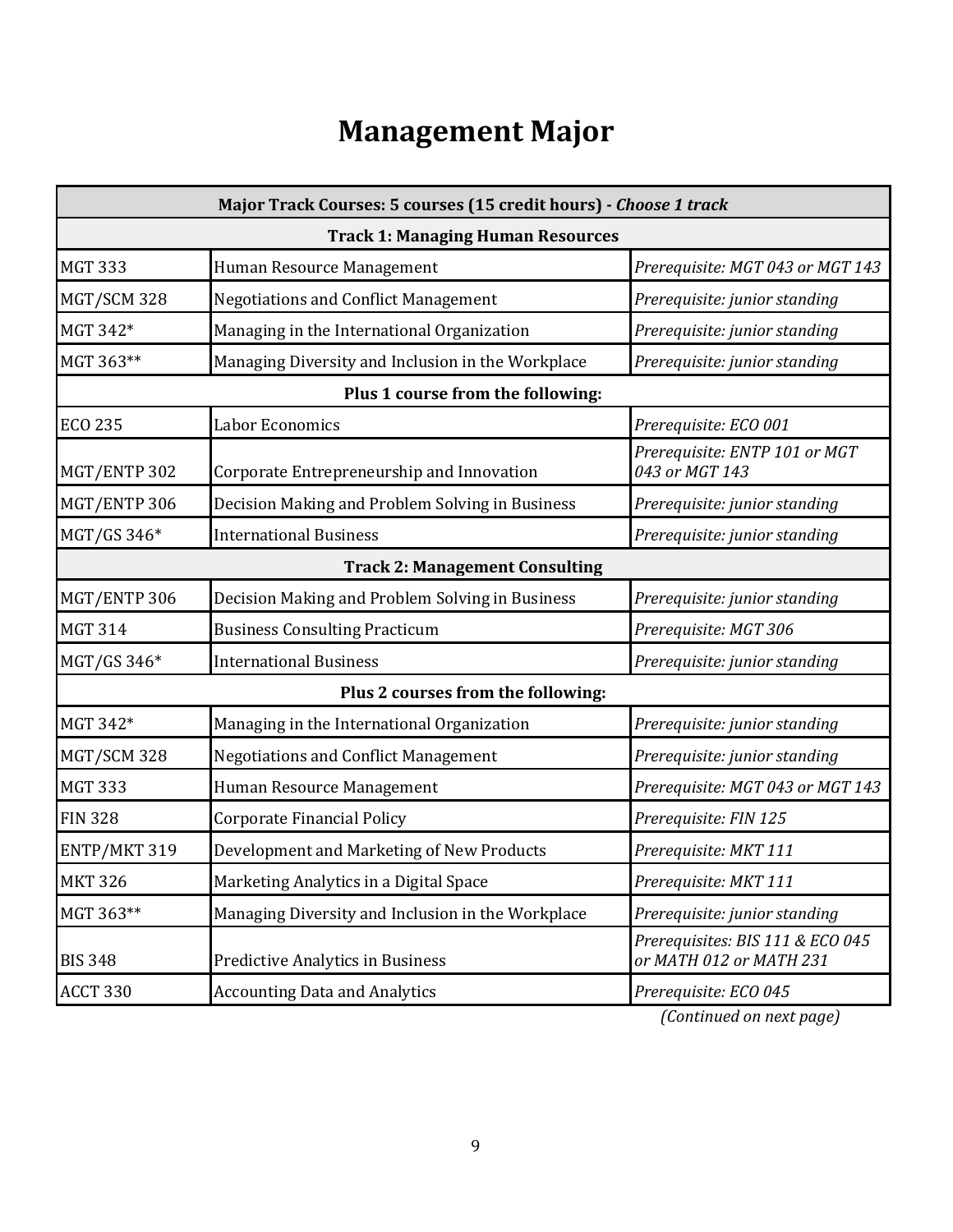## **Management Major**

| Major Track Courses: 5 courses (15 credit hours) - Choose 1 track |                                                   |                                                             |  |  |  |
|-------------------------------------------------------------------|---------------------------------------------------|-------------------------------------------------------------|--|--|--|
|                                                                   | <b>Track 1: Managing Human Resources</b>          |                                                             |  |  |  |
| <b>MGT 333</b>                                                    | Human Resource Management                         | Prerequisite: MGT 043 or MGT 143                            |  |  |  |
| MGT/SCM 328                                                       | <b>Negotiations and Conflict Management</b>       | Prerequisite: junior standing                               |  |  |  |
| MGT 342*                                                          | Managing in the International Organization        | Prerequisite: junior standing                               |  |  |  |
| MGT 363**                                                         | Managing Diversity and Inclusion in the Workplace | Prerequisite: junior standing                               |  |  |  |
|                                                                   | Plus 1 course from the following:                 |                                                             |  |  |  |
| <b>ECO 235</b>                                                    | Labor Economics                                   | Prerequisite: ECO 001                                       |  |  |  |
| MGT/ENTP 302                                                      | Corporate Entrepreneurship and Innovation         | Prerequisite: ENTP 101 or MGT<br>043 or MGT 143             |  |  |  |
| MGT/ENTP 306                                                      | Decision Making and Problem Solving in Business   | Prerequisite: junior standing                               |  |  |  |
| MGT/GS 346*                                                       | <b>International Business</b>                     | Prerequisite: junior standing                               |  |  |  |
| <b>Track 2: Management Consulting</b>                             |                                                   |                                                             |  |  |  |
| MGT/ENTP 306                                                      | Decision Making and Problem Solving in Business   | Prerequisite: junior standing                               |  |  |  |
| <b>MGT 314</b>                                                    | <b>Business Consulting Practicum</b>              | Prerequisite: MGT 306                                       |  |  |  |
| MGT/GS 346*                                                       | <b>International Business</b>                     | Prerequisite: junior standing                               |  |  |  |
|                                                                   | Plus 2 courses from the following:                |                                                             |  |  |  |
| MGT 342*                                                          | Managing in the International Organization        | Prerequisite: junior standing                               |  |  |  |
| MGT/SCM 328                                                       | <b>Negotiations and Conflict Management</b>       | Prerequisite: junior standing                               |  |  |  |
| <b>MGT 333</b>                                                    | Human Resource Management                         | Prerequisite: MGT 043 or MGT 143                            |  |  |  |
| <b>FIN 328</b>                                                    | <b>Corporate Financial Policy</b>                 | Prerequisite: FIN 125                                       |  |  |  |
| ENTP/MKT 319                                                      | Development and Marketing of New Products         | Prerequisite: MKT 111                                       |  |  |  |
| <b>MKT 326</b>                                                    | Marketing Analytics in a Digital Space            | Prerequisite: MKT 111                                       |  |  |  |
| MGT 363**                                                         | Managing Diversity and Inclusion in the Workplace | Prerequisite: junior standing                               |  |  |  |
| <b>BIS 348</b>                                                    | <b>Predictive Analytics in Business</b>           | Prerequisites: BIS 111 & ECO 045<br>or MATH 012 or MATH 231 |  |  |  |
| ACCT 330                                                          | <b>Accounting Data and Analytics</b>              | Prerequisite: ECO 045                                       |  |  |  |

*(Continued on next page)*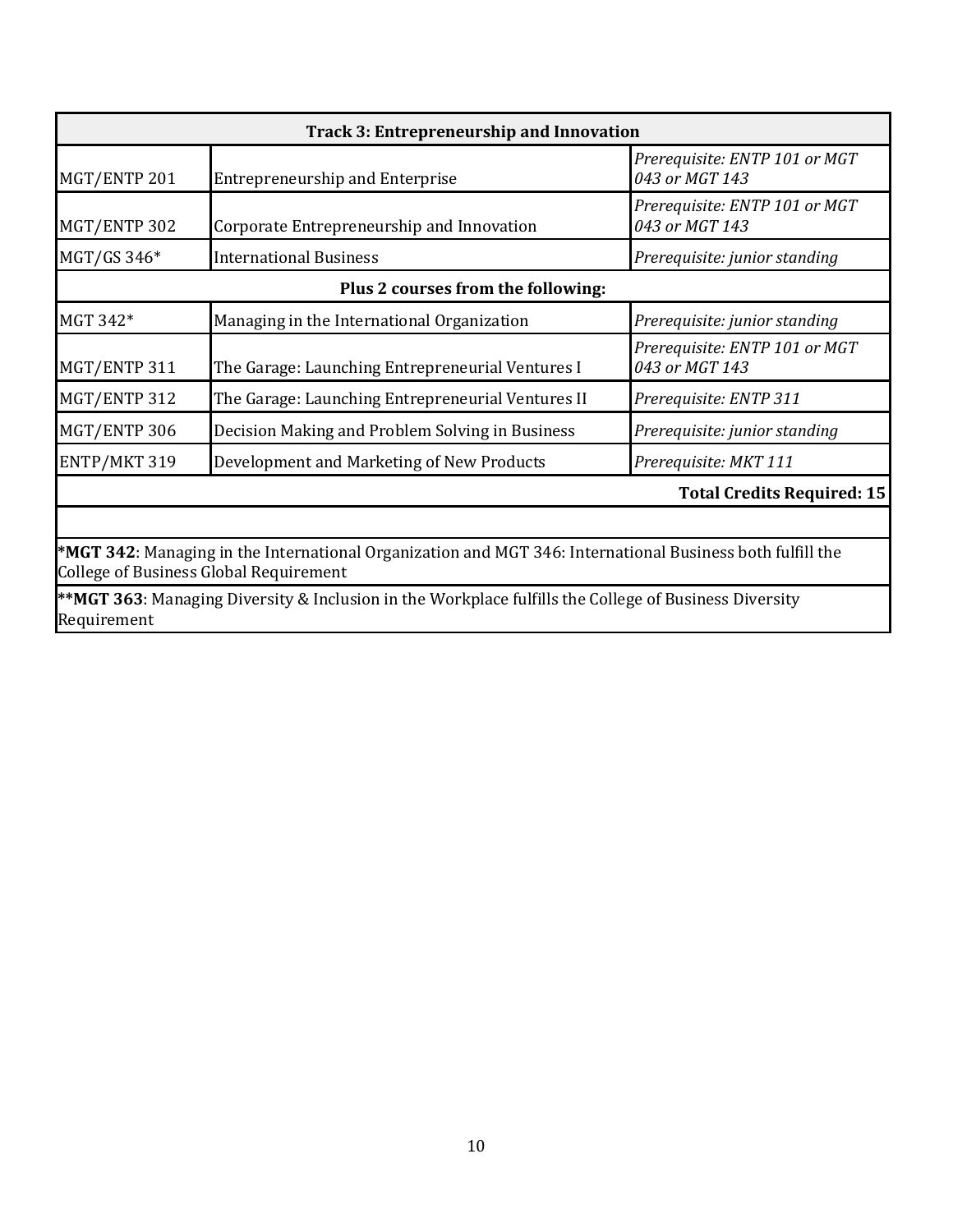| MGT/ENTP 201<br><b>Entrepreneurship and Enterprise</b><br>MGT/ENTP 302<br>Corporate Entrepreneurship and Innovation<br>MGT/GS 346*<br><b>International Business</b><br>Plus 2 courses from the following:<br>MGT 342*<br>Managing in the International Organization | <b>Track 3: Entrepreneurship and Innovation</b> |  |  |
|---------------------------------------------------------------------------------------------------------------------------------------------------------------------------------------------------------------------------------------------------------------------|-------------------------------------------------|--|--|
|                                                                                                                                                                                                                                                                     | Prerequisite: ENTP 101 or MGT<br>043 or MGT 143 |  |  |
|                                                                                                                                                                                                                                                                     | Prerequisite: ENTP 101 or MGT<br>043 or MGT 143 |  |  |
|                                                                                                                                                                                                                                                                     | Prerequisite: junior standing                   |  |  |
|                                                                                                                                                                                                                                                                     |                                                 |  |  |
|                                                                                                                                                                                                                                                                     | Prerequisite: junior standing                   |  |  |
| MGT/ENTP 311<br>The Garage: Launching Entrepreneurial Ventures I                                                                                                                                                                                                    | Prerequisite: ENTP 101 or MGT<br>043 or MGT 143 |  |  |
| MGT/ENTP 312<br>The Garage: Launching Entrepreneurial Ventures II                                                                                                                                                                                                   | Prerequisite: ENTP 311                          |  |  |
| MGT/ENTP 306<br>Decision Making and Problem Solving in Business                                                                                                                                                                                                     | Prerequisite: junior standing                   |  |  |
| ENTP/MKT 319<br>Development and Marketing of New Products                                                                                                                                                                                                           | Prerequisite: MKT 111                           |  |  |
|                                                                                                                                                                                                                                                                     | <b>Total Credits Required: 15</b>               |  |  |

**\*MGT 342**: Managing in the International Organization and MGT 346: International Business both fulfill the College of Business Global Requirement

**\*\*MGT 363**: Managing Diversity & Inclusion in the Workplace fulfills the College of Business Diversity Requirement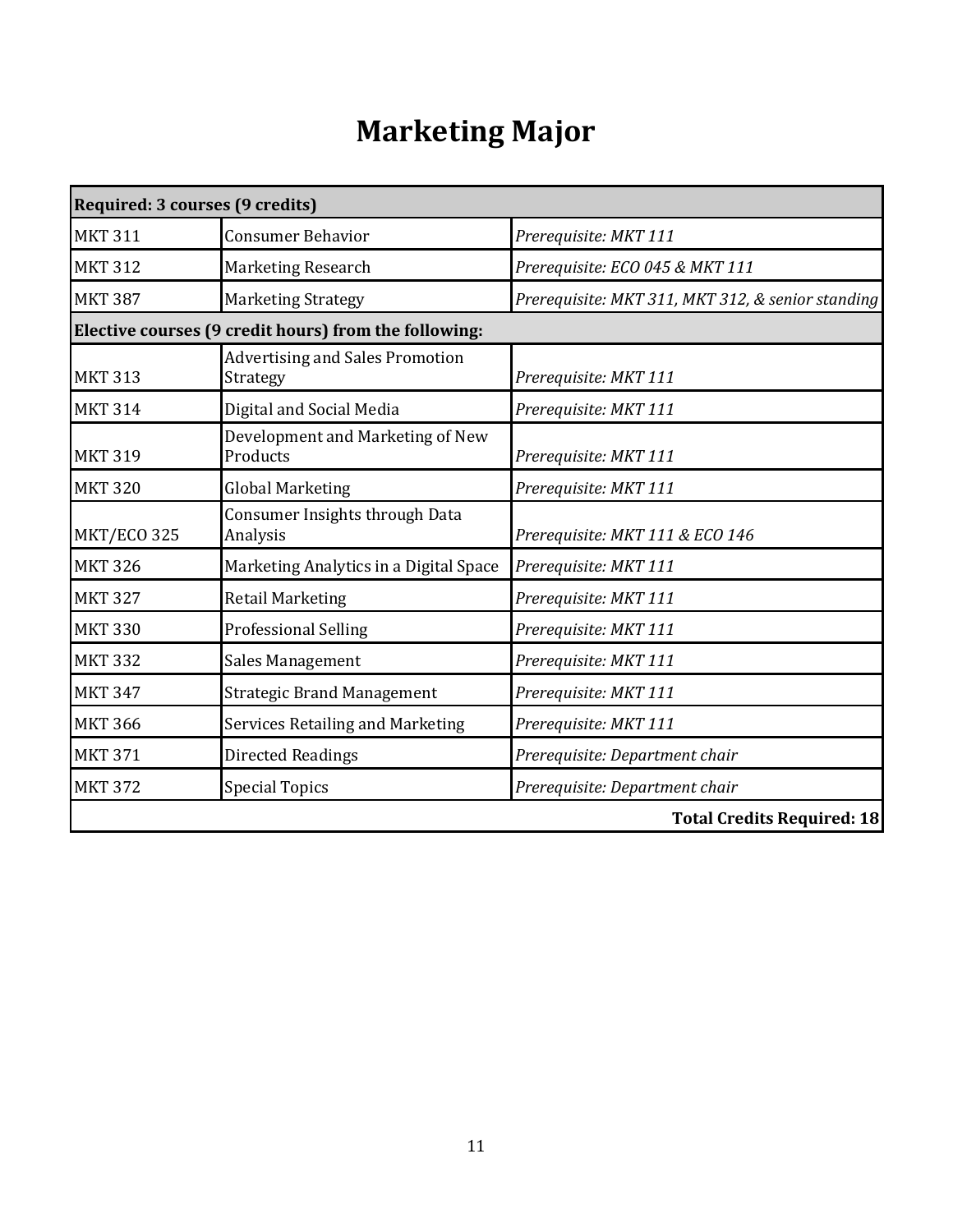# **Marketing Major**

| Required: 3 courses (9 credits) |                                                       |                                                   |
|---------------------------------|-------------------------------------------------------|---------------------------------------------------|
| <b>MKT 311</b>                  | <b>Consumer Behavior</b>                              | Prerequisite: MKT 111                             |
| <b>MKT 312</b>                  | <b>Marketing Research</b>                             | Prerequisite: ECO 045 & MKT 111                   |
| <b>MKT 387</b>                  | <b>Marketing Strategy</b>                             | Prerequisite: MKT 311, MKT 312, & senior standing |
|                                 | Elective courses (9 credit hours) from the following: |                                                   |
| <b>MKT 313</b>                  | <b>Advertising and Sales Promotion</b><br>Strategy    | Prerequisite: MKT 111                             |
| <b>MKT 314</b>                  | Digital and Social Media                              | Prerequisite: MKT 111                             |
| <b>MKT 319</b>                  | Development and Marketing of New<br>Products          | Prerequisite: MKT 111                             |
| <b>MKT 320</b>                  | <b>Global Marketing</b>                               | Prerequisite: MKT 111                             |
| <b>MKT/ECO 325</b>              | Consumer Insights through Data<br>Analysis            | Prerequisite: MKT 111 & ECO 146                   |
| <b>MKT 326</b>                  | Marketing Analytics in a Digital Space                | Prerequisite: MKT 111                             |
| <b>MKT 327</b>                  | <b>Retail Marketing</b>                               | Prerequisite: MKT 111                             |
| <b>MKT 330</b>                  | <b>Professional Selling</b>                           | Prerequisite: MKT 111                             |
| <b>MKT 332</b>                  | Sales Management                                      | Prerequisite: MKT 111                             |
| <b>MKT 347</b>                  | <b>Strategic Brand Management</b>                     | Prerequisite: MKT 111                             |
| <b>MKT 366</b>                  | Services Retailing and Marketing                      | Prerequisite: MKT 111                             |
| <b>MKT 371</b>                  | <b>Directed Readings</b>                              | Prerequisite: Department chair                    |
| <b>MKT 372</b>                  | <b>Special Topics</b>                                 | Prerequisite: Department chair                    |
|                                 |                                                       | <b>Total Credits Required: 18</b>                 |